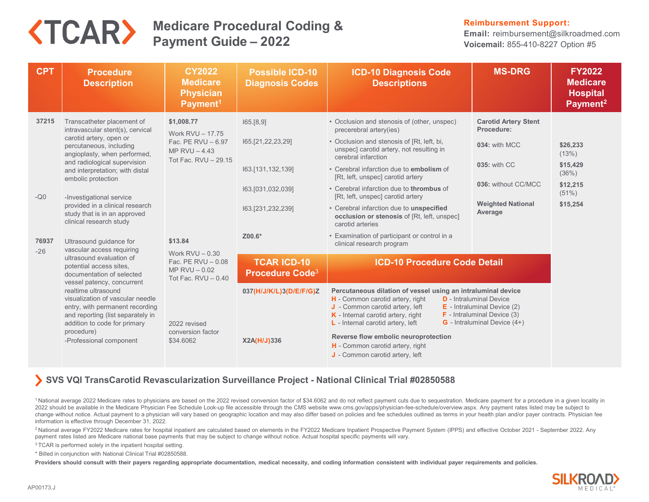

# **Medicare Procedural Coding & Payment Guide – 2022**

### **Reimbursement Support:**

**Email:** reimbursement@silkroadmed.com **Voicemail:** 855-410-8227 Option #5

| <b>CPT</b>     | <b>Procedure</b><br><b>Description</b>                                                                                                                                                                                                                                                                                                                                             | <b>CY2022</b><br><b>Medicare</b><br><b>Physician</b><br>Payment <sup>1</sup>                     | <b>Possible ICD-10</b><br><b>Diagnosis Codes</b>                                                 | <b>ICD-10 Diagnosis Code</b><br><b>Descriptions</b>                                                                                                                                                                                                                                                                                                                                                                                                                      | <b>MS-DRG</b>                                                                                                                            | <b>FY2022</b><br><b>Medicare</b><br><b>Hospital</b><br>Payment <sup>2</sup> |
|----------------|------------------------------------------------------------------------------------------------------------------------------------------------------------------------------------------------------------------------------------------------------------------------------------------------------------------------------------------------------------------------------------|--------------------------------------------------------------------------------------------------|--------------------------------------------------------------------------------------------------|--------------------------------------------------------------------------------------------------------------------------------------------------------------------------------------------------------------------------------------------------------------------------------------------------------------------------------------------------------------------------------------------------------------------------------------------------------------------------|------------------------------------------------------------------------------------------------------------------------------------------|-----------------------------------------------------------------------------|
| 37215<br>$-Q0$ | Transcatheter placement of<br>intravascular stent(s), cervical<br>carotid artery, open or<br>percutaneous, including<br>angioplasty, when performed,<br>and radiological supervision<br>and interpretation; with distal<br>embolic protection<br>-Investigational service<br>provided in a clinical research<br>study that is in an approved<br>clinical research study            | \$1,008.77<br>Work RVU - 17.75<br>Fac. PE RVU $-6.97$<br>MP RVU $-4.43$<br>Tot Fac. RVU - 29.15  | 165.[8,9]<br>165.[21,22,23,29]<br>163. [131, 132, 139]<br>163.[031,032,039]<br>163.[231,232,239] | • Occlusion and stenosis of (other, unspec)<br>precerebral artery(ies)<br>• Occlusion and stenosis of [Rt, left, bi,<br>unspec] carotid artery, not resulting in<br>cerebral infarction<br>• Cerebral infarction due to embolism of<br>[Rt, left, unspec] carotid artery<br>• Cerebral infarction due to thrombus of<br>[Rt, left, unspec] carotid artery<br>• Cerebral infarction due to unspecified<br>occlusion or stenosis of [Rt, left, unspec]<br>carotid arteries | <b>Carotid Artery Stent</b><br>Procedure:<br>034: with MCC<br>035: with CC<br>036: without CC/MCC<br><b>Weighted National</b><br>Average | \$26,233<br>(13%)<br>\$15,429<br>(36%)<br>\$12,215<br>$(51\%)$<br>\$15,254  |
| 76937<br>$-26$ | Ultrasound guidance for<br>vascular access requiring<br>ultrasound evaluation of<br>potential access sites,<br>documentation of selected<br>vessel patency, concurrent<br>realtime ultrasound<br>visualization of vascular needle<br>entry, with permanent recording<br>and reporting (list separately in<br>addition to code for primary<br>procedure)<br>-Professional component | \$13.84<br>Work $RVU - 0.30$<br>Fac. PE $RVU - 0.08$<br>MP $RVU - 0.02$<br>Tot Fac. $RVU - 0.40$ | Z00.6*                                                                                           | • Examination of participant or control in a<br>clinical research program                                                                                                                                                                                                                                                                                                                                                                                                |                                                                                                                                          |                                                                             |
|                |                                                                                                                                                                                                                                                                                                                                                                                    |                                                                                                  | <b>TCAR ICD-10</b><br><b>Procedure Code<sup>3</sup></b>                                          | <b>ICD-10 Procedure Code Detail</b>                                                                                                                                                                                                                                                                                                                                                                                                                                      |                                                                                                                                          |                                                                             |
|                |                                                                                                                                                                                                                                                                                                                                                                                    | 2022 revised<br>conversion factor<br>\$34.6062                                                   | 037(H/J/K/L)3(D/E/F/G)Z<br>X2A(H/J)336                                                           | Percutaneous dilation of vessel using an intraluminal device<br><b>D</b> - Intraluminal Device<br>H - Common carotid artery, right<br>$J$ - Common carotid artery, left<br>$E$ - Intraluminal Device (2)<br>K - Internal carotid artery, right<br>$F$ - Intraluminal Device (3)<br>G - Intraluminal Device (4+)<br>L - Internal carotid artery, left<br>Reverse flow embolic neuroprotection<br>H - Common carotid artery, right<br>J - Common carotid artery, left      |                                                                                                                                          |                                                                             |

## **SVS VQI TransCarotid Revascularization Surveillance Project - National Clinical Trial #02850588**

<sup>1</sup> National average 2022 Medicare rates to physicians are based on the 2022 revised conversion factor of \$34.6062 and do not reflect payment cuts due to sequestration. Medicare payment for a procedure in a given locality 2022 should be available in the Medicare Physician Fee Schedule Look-up file accessible through the CMS website www.cms.gov/apps/physician-fee-schedule/overview.aspx. Any payment rates listed may be subject to change without notice. Actual payment to a physician will vary based on geographic location and may also differ based on policies and fee schedules outlined as terms in your health plan and/or payer contracts. Physician fe information is effective through December 31, 2022.

<sup>2</sup> National average FY2022 Medicare rates for hospital inpatient are calculated based on elements in the FY2022 Medicare Inpatient Prospective Payment System (IPPS) and effective October 2021 - September 2022. Any payment rates listed are Medicare national base payments that may be subject to change without notice. Actual hospital specific payments will vary.

<sup>3</sup> TCAR is performed solely in the inpatient hospital setting.

\* Billed in conjunction with National Clinical Trial #02850588.

**Providers should consult with their payers regarding appropriate documentation, medical necessity, and coding information consistent with individual payer requirements and policies.**